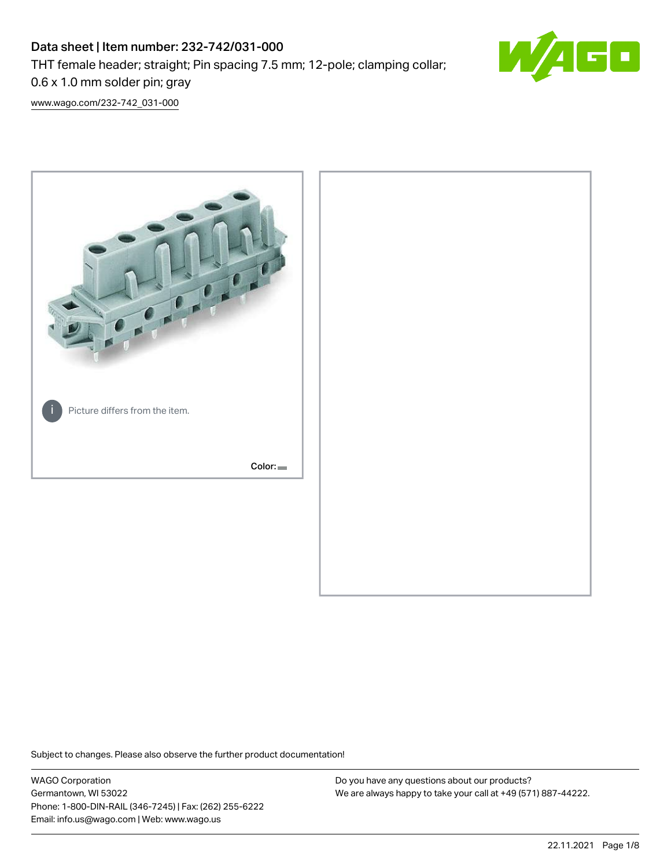# Data sheet | Item number: 232-742/031-000 THT female header; straight; Pin spacing 7.5 mm; 12-pole; clamping collar; 0.6 x 1.0 mm solder pin; gray



[www.wago.com/232-742\\_031-000](http://www.wago.com/232-742_031-000)



Subject to changes. Please also observe the further product documentation!

WAGO Corporation Germantown, WI 53022 Phone: 1-800-DIN-RAIL (346-7245) | Fax: (262) 255-6222 Email: info.us@wago.com | Web: www.wago.us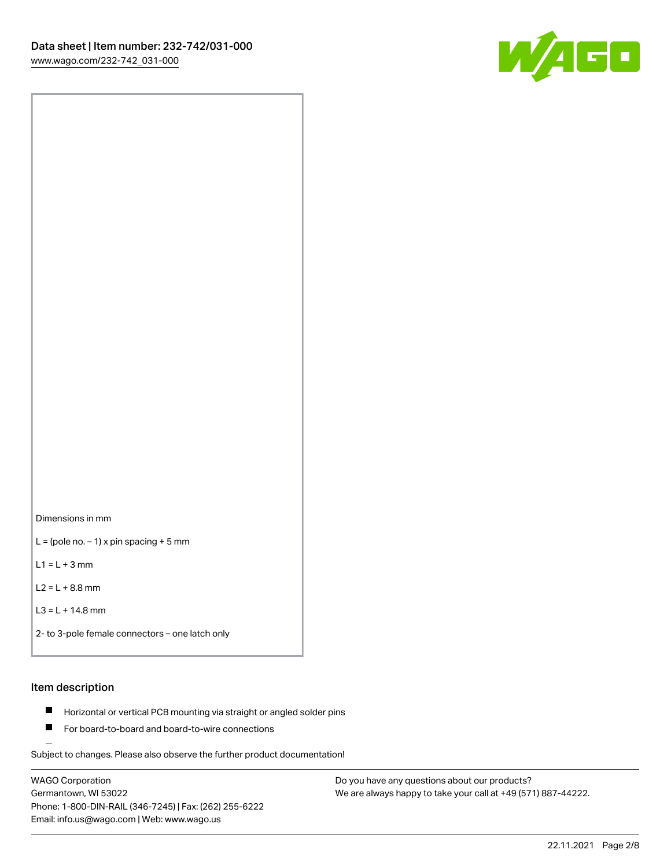

Dimensions in mm

 $L =$  (pole no.  $-1$ ) x pin spacing + 5 mm

 $L1 = L + 3$  mm

 $L2 = L + 8.8$  mm

```
L3 = L + 14.8 mm
```

```
2- to 3-pole female connectors – one latch only
```
# Item description

- **Horizontal or vertical PCB mounting via straight or angled solder pins**
- For board-to-board and board-to-wire connections

Subject to changes. Please also observe the further product documentation!

WAGO Corporation Germantown, WI 53022 Phone: 1-800-DIN-RAIL (346-7245) | Fax: (262) 255-6222 Email: info.us@wago.com | Web: www.wago.us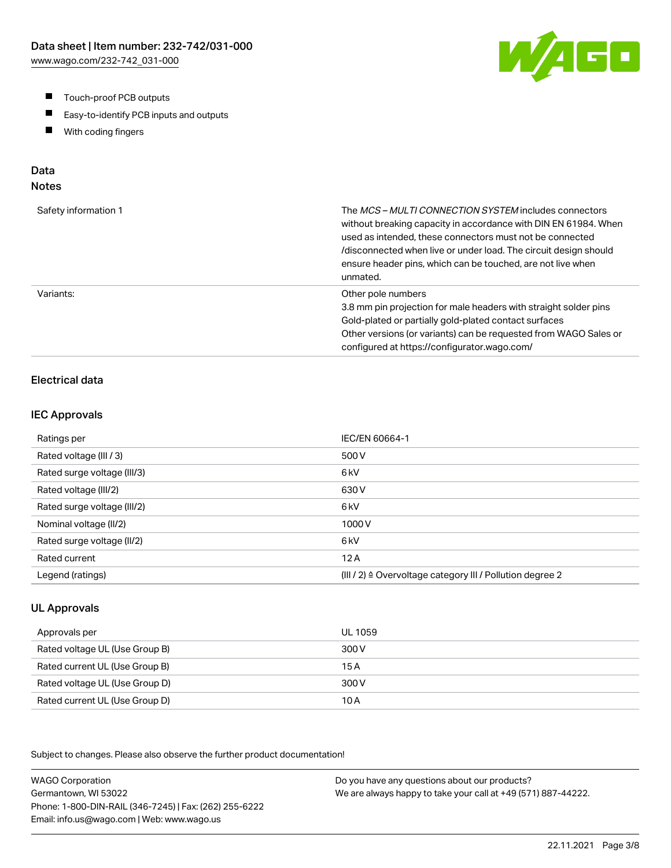- $\blacksquare$ Touch-proof PCB outputs
- $\blacksquare$ Easy-to-identify PCB inputs and outputs
- With coding fingers  $\blacksquare$

# Data

## Notes

| Safety information 1 | The <i>MCS – MULTI CONNECTION SYSTEM</i> includes connectors<br>without breaking capacity in accordance with DIN EN 61984. When<br>used as intended, these connectors must not be connected<br>/disconnected when live or under load. The circuit design should<br>ensure header pins, which can be touched, are not live when<br>unmated. |
|----------------------|--------------------------------------------------------------------------------------------------------------------------------------------------------------------------------------------------------------------------------------------------------------------------------------------------------------------------------------------|
| Variants:            | Other pole numbers<br>3.8 mm pin projection for male headers with straight solder pins<br>Gold-plated or partially gold-plated contact surfaces<br>Other versions (or variants) can be requested from WAGO Sales or<br>configured at https://configurator.wago.com/                                                                        |

## Electrical data

#### IEC Approvals

| Ratings per                 | IEC/EN 60664-1                                                       |
|-----------------------------|----------------------------------------------------------------------|
| Rated voltage (III / 3)     | 500 V                                                                |
| Rated surge voltage (III/3) | 6 <sub>kV</sub>                                                      |
| Rated voltage (III/2)       | 630 V                                                                |
| Rated surge voltage (III/2) | 6 <sub>k</sub> V                                                     |
| Nominal voltage (II/2)      | 1000V                                                                |
| Rated surge voltage (II/2)  | 6 <sub>k</sub> V                                                     |
| Rated current               | 12A                                                                  |
| Legend (ratings)            | (III / 2) $\triangleq$ Overvoltage category III / Pollution degree 2 |

### UL Approvals

| Approvals per                  | UL 1059 |
|--------------------------------|---------|
| Rated voltage UL (Use Group B) | 300 V   |
| Rated current UL (Use Group B) | 15 A    |
| Rated voltage UL (Use Group D) | 300 V   |
| Rated current UL (Use Group D) | 10 A    |

Subject to changes. Please also observe the further product documentation!

WAGO Corporation Germantown, WI 53022 Phone: 1-800-DIN-RAIL (346-7245) | Fax: (262) 255-6222 Email: info.us@wago.com | Web: www.wago.us Do you have any questions about our products? We are always happy to take your call at +49 (571) 887-44222.

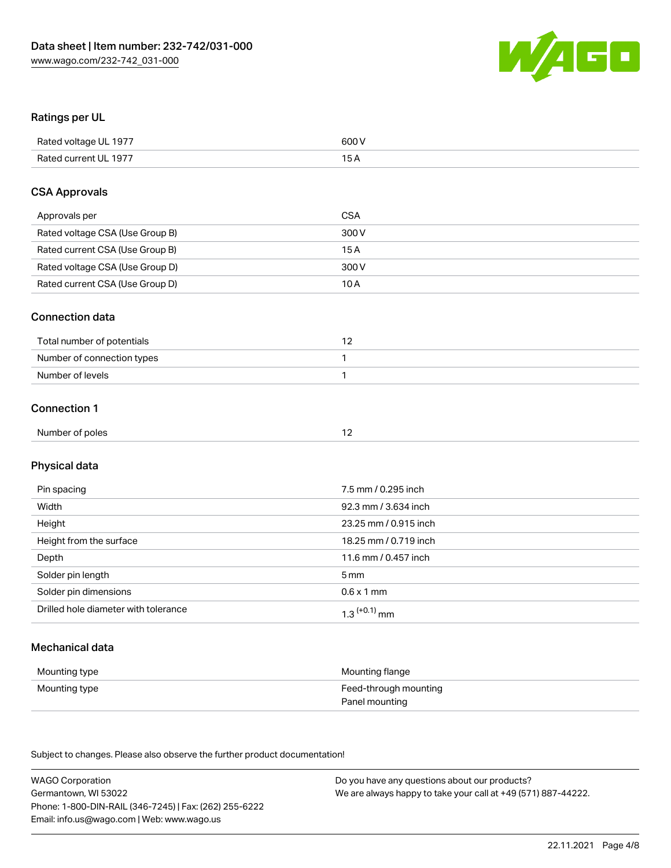

## Ratings per UL

| Rated voltage UL 1977 | 600 V |
|-----------------------|-------|
| Rated current UL 1977 |       |

### CSA Approvals

| Approvals per                   | CSA   |
|---------------------------------|-------|
| Rated voltage CSA (Use Group B) | 300 V |
| Rated current CSA (Use Group B) | 15 A  |
| Rated voltage CSA (Use Group D) | 300 V |
| Rated current CSA (Use Group D) | 10 A  |

#### Connection data

| Total number of potentials |  |
|----------------------------|--|
| Number of connection types |  |
| Number of levels           |  |

## Connection 1

| Number of poles |  |
|-----------------|--|
|-----------------|--|

# Physical data

| Pin spacing                          | 7.5 mm / 0.295 inch   |
|--------------------------------------|-----------------------|
| Width                                | 92.3 mm / 3.634 inch  |
| Height                               | 23.25 mm / 0.915 inch |
| Height from the surface              | 18.25 mm / 0.719 inch |
| Depth                                | 11.6 mm / 0.457 inch  |
| Solder pin length                    | 5 mm                  |
| Solder pin dimensions                | $0.6 \times 1$ mm     |
| Drilled hole diameter with tolerance | $1.3$ $(+0.1)$ mm     |

## Mechanical data

| Mounting type | Mounting flange       |
|---------------|-----------------------|
| Mounting type | Feed-through mounting |
|               | Panel mounting        |

Subject to changes. Please also observe the further product documentation!

| <b>WAGO Corporation</b>                                | Do you have any questions about our products?                 |
|--------------------------------------------------------|---------------------------------------------------------------|
| Germantown, WI 53022                                   | We are always happy to take your call at +49 (571) 887-44222. |
| Phone: 1-800-DIN-RAIL (346-7245)   Fax: (262) 255-6222 |                                                               |
| Email: info.us@wago.com   Web: www.wago.us             |                                                               |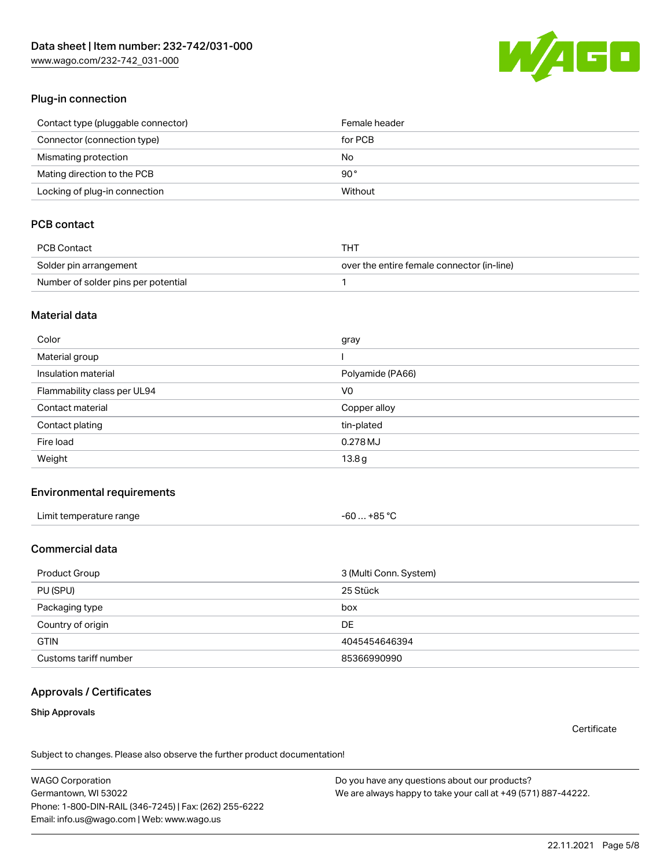[www.wago.com/232-742\\_031-000](http://www.wago.com/232-742_031-000)



### Plug-in connection

| Contact type (pluggable connector) | Female header |
|------------------------------------|---------------|
| Connector (connection type)        | for PCB       |
| Mismating protection               | No            |
| Mating direction to the PCB        | 90°           |
| Locking of plug-in connection      | Without       |

## PCB contact

| PCB Contact                         | THT                                        |
|-------------------------------------|--------------------------------------------|
| Solder pin arrangement              | over the entire female connector (in-line) |
| Number of solder pins per potential |                                            |

#### Material data

| gray             |
|------------------|
|                  |
| Polyamide (PA66) |
| V <sub>0</sub>   |
| Copper alloy     |
| tin-plated       |
| 0.278 MJ         |
| 13.8g            |
|                  |

#### Environmental requirements

| Limit temperature range | -60  +85 °C |
|-------------------------|-------------|
|-------------------------|-------------|

## Commercial data

| Product Group         | 3 (Multi Conn. System) |
|-----------------------|------------------------|
| PU (SPU)              | 25 Stück               |
| Packaging type        | box                    |
| Country of origin     | DE                     |
| <b>GTIN</b>           | 4045454646394          |
| Customs tariff number | 85366990990            |

#### Approvals / Certificates

#### Ship Approvals

**Certificate** 

Subject to changes. Please also observe the further product documentation!

WAGO Corporation Germantown, WI 53022 Phone: 1-800-DIN-RAIL (346-7245) | Fax: (262) 255-6222 Email: info.us@wago.com | Web: www.wago.us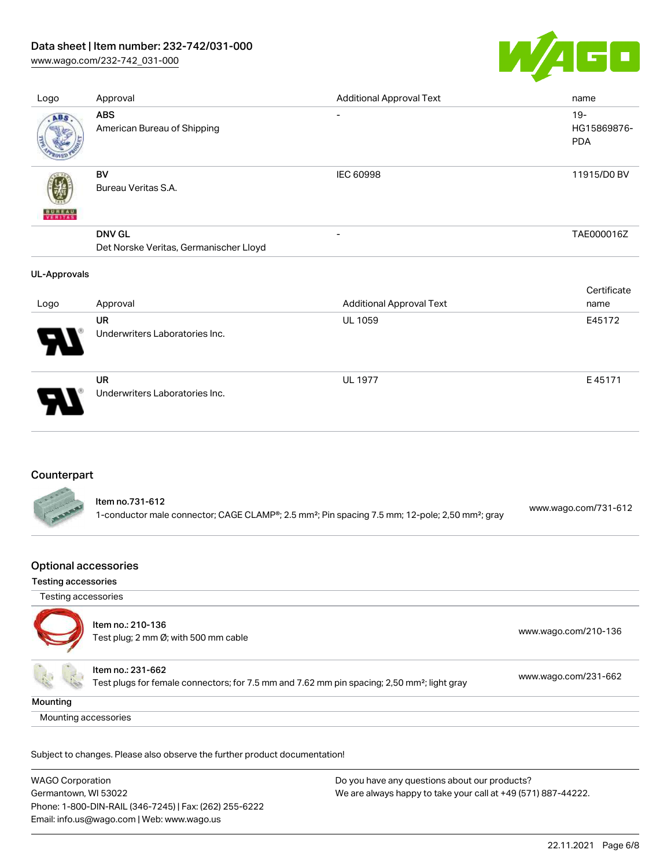## Data sheet | Item number: 232-742/031-000

[www.wago.com/232-742\\_031-000](http://www.wago.com/232-742_031-000)



| Logo                | Approval                                                | <b>Additional Approval Text</b> | name                                |
|---------------------|---------------------------------------------------------|---------------------------------|-------------------------------------|
| ABS                 | <b>ABS</b><br>American Bureau of Shipping               | $\overline{\phantom{a}}$        | $19 -$<br>HG15869876-<br><b>PDA</b> |
| <b>BUNEAU</b>       | BV<br>Bureau Veritas S.A.                               | IEC 60998                       | 11915/D0 BV                         |
|                     | <b>DNV GL</b><br>Det Norske Veritas, Germanischer Lloyd | -                               | TAE000016Z                          |
| <b>UL-Approvals</b> |                                                         |                                 |                                     |
| Logo                | Approval                                                | <b>Additional Approval Text</b> | Certificate<br>name                 |
|                     | <b>UR</b><br>Underwriters Laboratories Inc.             | UL 1059                         | E45172                              |
|                     | <b>UR</b><br>Underwriters Laboratories Inc.             | <b>UL 1977</b>                  | E45171                              |

## Counterpart

| Item no.731-612                                                                                                         |                      |
|-------------------------------------------------------------------------------------------------------------------------|----------------------|
| 1-conductor male connector; CAGE CLAMP®; 2.5 mm <sup>2</sup> ; Pin spacing 7.5 mm; 12-pole; 2,50 mm <sup>2</sup> ; gray | www.wago.com/731-612 |

### Optional accessories

#### Testing accessories

| Testing accessories  |                                                                                                                              |                      |
|----------------------|------------------------------------------------------------------------------------------------------------------------------|----------------------|
|                      | Item no.: 210-136<br>Test plug; 2 mm Ø; with 500 mm cable                                                                    | www.wago.com/210-136 |
|                      | Item no.: 231-662<br>Test plugs for female connectors; for 7.5 mm and 7.62 mm pin spacing; 2,50 mm <sup>2</sup> ; light gray | www.wago.com/231-662 |
| Mounting             |                                                                                                                              |                      |
| Mounting accessories |                                                                                                                              |                      |

Subject to changes. Please also observe the further product documentation!

| <b>WAGO Corporation</b>                                | Do you have any questions about our products?                 |
|--------------------------------------------------------|---------------------------------------------------------------|
| Germantown, WI 53022                                   | We are always happy to take your call at +49 (571) 887-44222. |
| Phone: 1-800-DIN-RAIL (346-7245)   Fax: (262) 255-6222 |                                                               |
| Email: info.us@wago.com   Web: www.wago.us             |                                                               |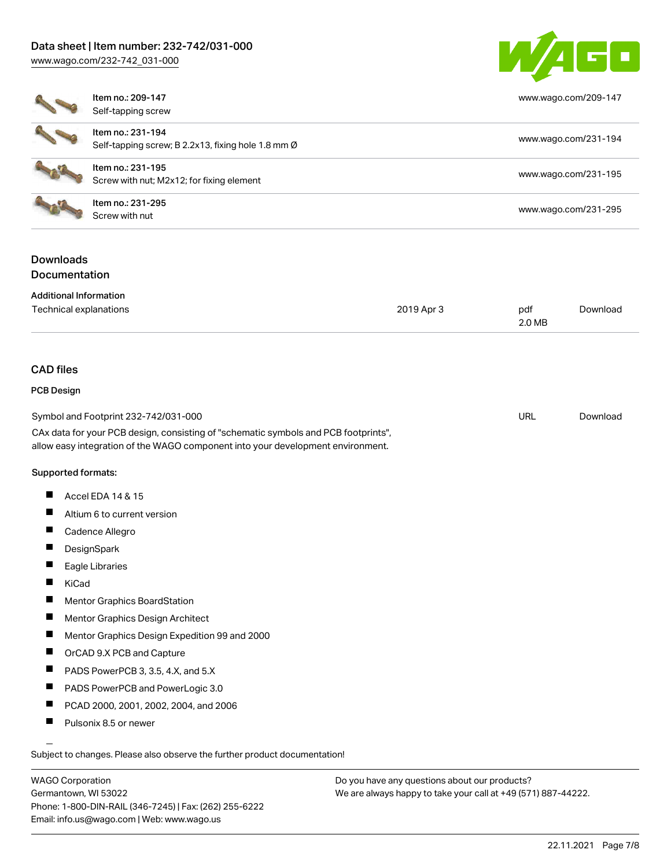[www.wago.com/232-742\\_031-000](http://www.wago.com/232-742_031-000)



|                                                         | Item no.: 209-147<br>Self-tapping screw                                                                                                                                                                        |            |               | www.wago.com/209-147 |  |
|---------------------------------------------------------|----------------------------------------------------------------------------------------------------------------------------------------------------------------------------------------------------------------|------------|---------------|----------------------|--|
|                                                         | Item no.: 231-194<br>Self-tapping screw; B 2.2x13, fixing hole 1.8 mm Ø                                                                                                                                        |            |               | www.wago.com/231-194 |  |
|                                                         | Item no.: 231-195<br>Screw with nut; M2x12; for fixing element                                                                                                                                                 |            |               | www.wago.com/231-195 |  |
|                                                         | Item no.: 231-295<br>Screw with nut                                                                                                                                                                            |            |               | www.wago.com/231-295 |  |
| <b>Downloads</b><br>Documentation                       |                                                                                                                                                                                                                |            |               |                      |  |
| <b>Additional Information</b><br>Technical explanations |                                                                                                                                                                                                                | 2019 Apr 3 | pdf<br>2.0 MB | Download             |  |
| <b>CAD files</b>                                        |                                                                                                                                                                                                                |            |               |                      |  |
| <b>PCB Design</b>                                       |                                                                                                                                                                                                                |            |               |                      |  |
|                                                         | Symbol and Footprint 232-742/031-000<br>CAx data for your PCB design, consisting of "schematic symbols and PCB footprints",<br>allow easy integration of the WAGO component into your development environment. |            | <b>URL</b>    | Download             |  |
| Supported formats:                                      |                                                                                                                                                                                                                |            |               |                      |  |
| ш                                                       | Accel EDA 14 & 15                                                                                                                                                                                              |            |               |                      |  |
|                                                         | Altium 6 to current version                                                                                                                                                                                    |            |               |                      |  |
| Ш                                                       | Cadence Allegro                                                                                                                                                                                                |            |               |                      |  |
| Ш                                                       | DesignSpark                                                                                                                                                                                                    |            |               |                      |  |
|                                                         | Eagle Libraries                                                                                                                                                                                                |            |               |                      |  |
| П<br>KiCad                                              |                                                                                                                                                                                                                |            |               |                      |  |
|                                                         | Mentor Graphics BoardStation                                                                                                                                                                                   |            |               |                      |  |
| H.                                                      | Mentor Graphics Design Architect                                                                                                                                                                               |            |               |                      |  |
| Ш                                                       | Mentor Graphics Design Expedition 99 and 2000                                                                                                                                                                  |            |               |                      |  |
| Ш                                                       | OrCAD 9.X PCB and Capture                                                                                                                                                                                      |            |               |                      |  |
| ш                                                       | PADS PowerPCB 3, 3.5, 4.X, and 5.X                                                                                                                                                                             |            |               |                      |  |

- **PADS PowerPCB and PowerLogic 3.0**
- $\blacksquare$ PCAD 2000, 2001, 2002, 2004, and 2006
- $\blacksquare$ Pulsonix 8.5 or newer

Subject to changes. Please also observe the further product documentation!

WAGO Corporation Germantown, WI 53022 Phone: 1-800-DIN-RAIL (346-7245) | Fax: (262) 255-6222 Email: info.us@wago.com | Web: www.wago.us